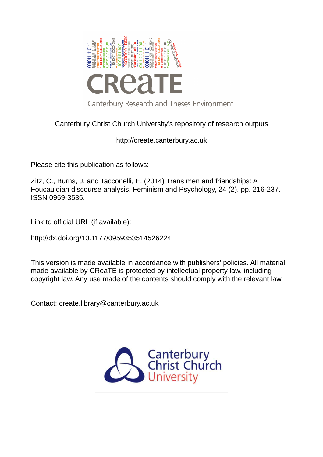

# Canterbury Christ Church University's repository of research outputs

http://create.canterbury.ac.uk

Please cite this publication as follows:

Zitz, C., Burns, J. and Tacconelli, E. (2014) Trans men and friendships: A Foucauldian discourse analysis. Feminism and Psychology, 24 (2). pp. 216-237. ISSN 0959-3535.

Link to official URL (if available):

http://dx.doi.org/10.1177/0959353514526224

This version is made available in accordance with publishers' policies. All material made available by CReaTE is protected by intellectual property law, including copyright law. Any use made of the contents should comply with the relevant law.

Contact: create.library@canterbury.ac.uk

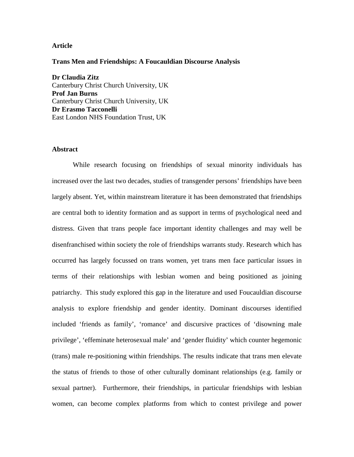### **Article**

### **Trans Men and Friendships: A Foucauldian Discourse Analysis**

**Dr Claudia Zitz** Canterbury Christ Church University, UK **Prof Jan Burns**  Canterbury Christ Church University, UK **Dr Erasmo Tacconelli** East London NHS Foundation Trust, UK

### **Abstract**

While research focusing on friendships of sexual minority individuals has increased over the last two decades, studies of transgender persons' friendships have been largely absent. Yet, within mainstream literature it has been demonstrated that friendships are central both to identity formation and as support in terms of psychological need and distress. Given that trans people face important identity challenges and may well be disenfranchised within society the role of friendships warrants study. Research which has occurred has largely focussed on trans women, yet trans men face particular issues in terms of their relationships with lesbian women and being positioned as joining patriarchy. This study explored this gap in the literature and used Foucauldian discourse analysis to explore friendship and gender identity. Dominant discourses identified included 'friends as family', 'romance' and discursive practices of 'disowning male privilege', 'effeminate heterosexual male' and 'gender fluidity' which counter hegemonic (trans) male re-positioning within friendships. The results indicate that trans men elevate the status of friends to those of other culturally dominant relationships (e.g. family or sexual partner). Furthermore, their friendships, in particular friendships with lesbian women, can become complex platforms from which to contest privilege and power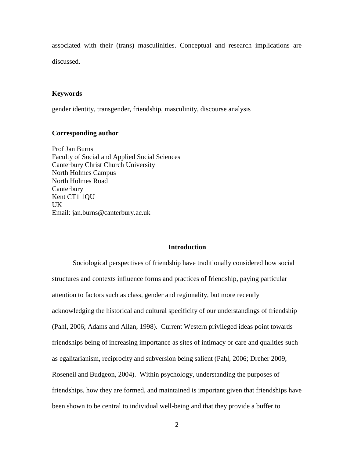associated with their (trans) masculinities. Conceptual and research implications are discussed.

### **Keywords**

gender identity, transgender, friendship, masculinity, discourse analysis

### **Corresponding author**

Prof Jan Burns Faculty of Social and Applied Social Sciences Canterbury Christ Church University North Holmes Campus North Holmes Road **Canterbury** Kent CT1 1QU UK Email: jan.burns@canterbury.ac.uk

### **Introduction**

Sociological perspectives of friendship have traditionally considered how social structures and contexts influence forms and practices of friendship, paying particular attention to factors such as class, gender and regionality, but more recently acknowledging the historical and cultural specificity of our understandings of friendship (Pahl, 2006; Adams and Allan, 1998). Current Western privileged ideas point towards friendships being of increasing importance as sites of intimacy or care and qualities such as egalitarianism, reciprocity and subversion being salient (Pahl, 2006; Dreher 2009; Roseneil and Budgeon, 2004). Within psychology, understanding the purposes of friendships, how they are formed, and maintained is important given that friendships have been shown to be central to individual well-being and that they provide a buffer to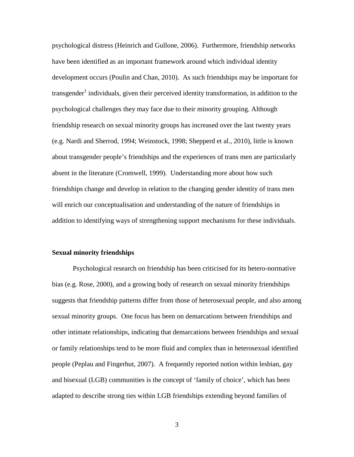psychological distress (Heinrich and Gullone, 2006). Furthermore, friendship networks have been identified as an important framework around which individual identity development occurs (Poulin and Chan, 2010). As such friendships may be important for transgender<sup>1</sup> individuals, given their perceived identity transformation, in addition to the psychological challenges they may face due to their minority grouping. Although friendship research on sexual minority groups has increased over the last twenty years (e.g. Nardi and Sherrod, 1994; Weinstock, 1998; Shepperd et al., 2010), little is known about transgender people's friendships and the experiences of trans men are particularly absent in the literature (Cromwell, 1999). Understanding more about how such friendships change and develop in relation to the changing gender identity of trans men will enrich our conceptualisation and understanding of the nature of friendships in addition to identifying ways of strengthening support mechanisms for these individuals.

# **Sexual minority friendships**

Psychological research on friendship has been criticised for its hetero-normative bias (e.g. Rose, 2000), and a growing body of research on sexual minority friendships suggests that friendship patterns differ from those of heterosexual people, and also among sexual minority groups. One focus has been on demarcations between friendships and other intimate relationships, indicating that demarcations between friendships and sexual or family relationships tend to be more fluid and complex than in heterosexual identified people (Peplau and Fingerhut, 2007). A frequently reported notion within lesbian, gay and bisexual (LGB) communities is the concept of 'family of choice', which has been adapted to describe strong ties within LGB friendships extending beyond families of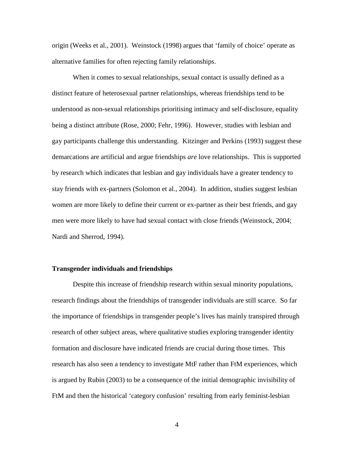origin (Weeks et al., 2001). Weinstock (1998) argues that 'family of choice' operate as alternative families for often rejecting family relationships.

When it comes to sexual relationships, sexual contact is usually defined as a distinct feature of heterosexual partner relationships, whereas friendships tend to be understood as non-sexual relationships prioritising intimacy and self-disclosure, equality being a distinct attribute (Rose, 2000; Fehr, 1996). However, studies with lesbian and gay participants challenge this understanding. Kitzinger and Perkins (1993) suggest these demarcations are artificial and argue friendships *are* love relationships. This is supported by research which indicates that lesbian and gay individuals have a greater tendency to stay friends with ex-partners (Solomon et al., 2004). In addition, studies suggest lesbian women are more likely to define their current or ex-partner as their best friends, and gay men were more likely to have had sexual contact with close friends (Weinstock, 2004; Nardi and Sherrod, 1994).

### **Transgender individuals and friendships**

Despite this increase of friendship research within sexual minority populations, research findings about the friendships of transgender individuals are still scarce. So far the importance of friendships in transgender people's lives has mainly transpired through research of other subject areas, where qualitative studies exploring transgender identity formation and disclosure have indicated friends are crucial during those times. This research has also seen a tendency to investigate MtF rather than FtM experiences, which is argued by Rubin (2003) to be a consequence of the initial demographic invisibility of FtM and then the historical 'category confusion' resulting from early feminist-lesbian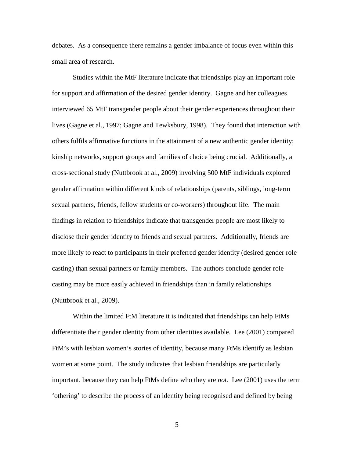debates. As a consequence there remains a gender imbalance of focus even within this small area of research.

Studies within the MtF literature indicate that friendships play an important role for support and affirmation of the desired gender identity. Gagne and her colleagues interviewed 65 MtF transgender people about their gender experiences throughout their lives (Gagne et al., 1997; Gagne and Tewksbury, 1998). They found that interaction with others fulfils affirmative functions in the attainment of a new authentic gender identity; kinship networks, support groups and families of choice being crucial. Additionally, a cross-sectional study (Nuttbrook at al., 2009) involving 500 MtF individuals explored gender affirmation within different kinds of relationships (parents, siblings, long-term sexual partners, friends, fellow students or co-workers) throughout life. The main findings in relation to friendships indicate that transgender people are most likely to disclose their gender identity to friends and sexual partners. Additionally, friends are more likely to react to participants in their preferred gender identity (desired gender role casting) than sexual partners or family members. The authors conclude gender role casting may be more easily achieved in friendships than in family relationships (Nuttbrook et al., 2009).

Within the limited FtM literature it is indicated that friendships can help FtMs differentiate their gender identity from other identities available. Lee (2001) compared FtM's with lesbian women's stories of identity, because many FtMs identify as lesbian women at some point. The study indicates that lesbian friendships are particularly important, because they can help FtMs define who they are *not.* Lee (2001) uses the term 'othering' to describe the process of an identity being recognised and defined by being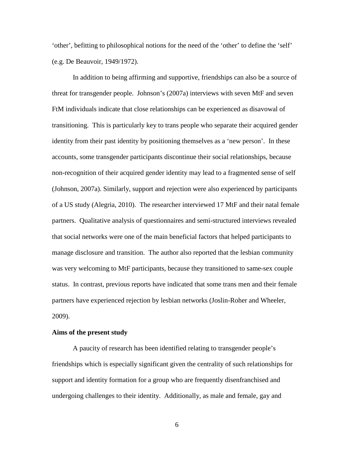'other', befitting to philosophical notions for the need of the 'other' to define the 'self' (e.g. De Beauvoir, 1949/1972).

In addition to being affirming and supportive, friendships can also be a source of threat for transgender people. Johnson's (2007a) interviews with seven MtF and seven FtM individuals indicate that close relationships can be experienced as disavowal of transitioning. This is particularly key to trans people who separate their acquired gender identity from their past identity by positioning themselves as a 'new person'. In these accounts, some transgender participants discontinue their social relationships, because non-recognition of their acquired gender identity may lead to a fragmented sense of self (Johnson, 2007a). Similarly, support and rejection were also experienced by participants of a US study (Alegria, 2010). The researcher interviewed 17 MtF and their natal female partners. Qualitative analysis of questionnaires and semi-structured interviews revealed that social networks were one of the main beneficial factors that helped participants to manage disclosure and transition. The author also reported that the lesbian community was very welcoming to MtF participants, because they transitioned to same-sex couple status. In contrast, previous reports have indicated that some trans men and their female partners have experienced rejection by lesbian networks (Joslin-Roher and Wheeler, 2009).

# **Aims of the present study**

A paucity of research has been identified relating to transgender people's friendships which is especially significant given the centrality of such relationships for support and identity formation for a group who are frequently disenfranchised and undergoing challenges to their identity. Additionally, as male and female, gay and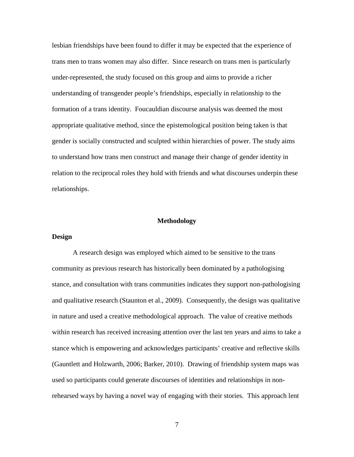lesbian friendships have been found to differ it may be expected that the experience of trans men to trans women may also differ. Since research on trans men is particularly under-represented, the study focused on this group and aims to provide a richer understanding of transgender people's friendships, especially in relationship to the formation of a trans identity. Foucauldian discourse analysis was deemed the most appropriate qualitative method, since the epistemological position being taken is that gender is socially constructed and sculpted within hierarchies of power. The study aims to understand how trans men construct and manage their change of gender identity in relation to the reciprocal roles they hold with friends and what discourses underpin these relationships.

### **Methodology**

### **Design**

A research design was employed which aimed to be sensitive to the trans community as previous research has historically been dominated by a pathologising stance, and consultation with trans communities indicates they support non-pathologising and qualitative research (Staunton et al., 2009). Consequently, the design was qualitative in nature and used a creative methodological approach. The value of creative methods within research has received increasing attention over the last ten years and aims to take a stance which is empowering and acknowledges participants' creative and reflective skills (Gauntlett and Holzwarth, 2006; Barker, 2010). Drawing of friendship system maps was used so participants could generate discourses of identities and relationships in nonrehearsed ways by having a novel way of engaging with their stories. This approach lent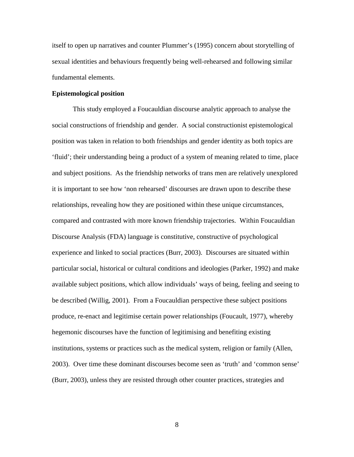itself to open up narratives and counter Plummer's (1995) concern about storytelling of sexual identities and behaviours frequently being well-rehearsed and following similar fundamental elements.

### **Epistemological position**

This study employed a Foucauldian discourse analytic approach to analyse the social constructions of friendship and gender. A social constructionist epistemological position was taken in relation to both friendships and gender identity as both topics are 'fluid'; their understanding being a product of a system of meaning related to time, place and subject positions. As the friendship networks of trans men are relatively unexplored it is important to see how 'non rehearsed' discourses are drawn upon to describe these relationships, revealing how they are positioned within these unique circumstances, compared and contrasted with more known friendship trajectories. Within Foucauldian Discourse Analysis (FDA) language is constitutive, constructive of psychological experience and linked to social practices (Burr, 2003). Discourses are situated within particular social, historical or cultural conditions and ideologies (Parker, 1992) and make available subject positions, which allow individuals' ways of being, feeling and seeing to be described (Willig, 2001). From a Foucauldian perspective these subject positions produce, re-enact and legitimise certain power relationships (Foucault, 1977), whereby hegemonic discourses have the function of legitimising and benefiting existing institutions, systems or practices such as the medical system, religion or family (Allen, 2003). Over time these dominant discourses become seen as 'truth' and 'common sense' (Burr, 2003), unless they are resisted through other counter practices, strategies and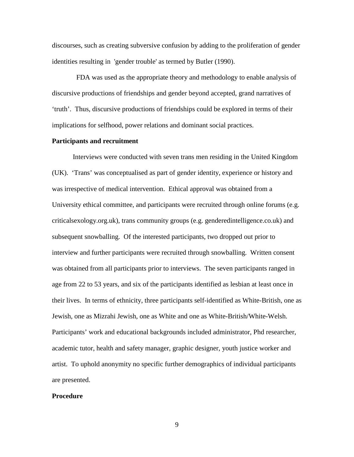discourses, such as creating subversive confusion by adding to the proliferation of gender identities resulting in 'gender trouble' as termed by Butler (1990).

 FDA was used as the appropriate theory and methodology to enable analysis of discursive productions of friendships and gender beyond accepted, grand narratives of 'truth'. Thus, discursive productions of friendships could be explored in terms of their implications for selfhood, power relations and dominant social practices.

### **Participants and recruitment**

Interviews were conducted with seven trans men residing in the United Kingdom (UK). 'Trans' was conceptualised as part of gender identity, experience or history and was irrespective of medical intervention. Ethical approval was obtained from a University ethical committee, and participants were recruited through online forums (e.g. criticalsexology.org.uk), trans community groups (e.g. genderedintelligence.co.uk) and subsequent snowballing. Of the interested participants, two dropped out prior to interview and further participants were recruited through snowballing. Written consent was obtained from all participants prior to interviews. The seven participants ranged in age from 22 to 53 years, and six of the participants identified as lesbian at least once in their lives. In terms of ethnicity, three participants self-identified as White-British, one as Jewish, one as Mizrahi Jewish, one as White and one as White-British/White-Welsh. Participants' work and educational backgrounds included administrator, Phd researcher, academic tutor, health and safety manager, graphic designer, youth justice worker and artist. To uphold anonymity no specific further demographics of individual participants are presented.

#### **Procedure**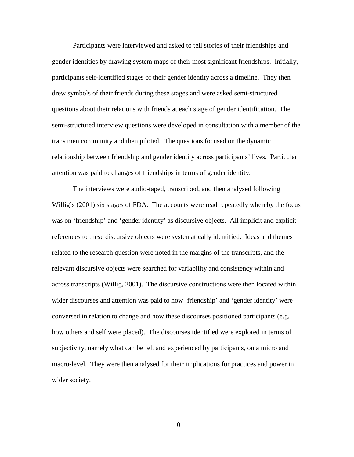Participants were interviewed and asked to tell stories of their friendships and gender identities by drawing system maps of their most significant friendships. Initially, participants self-identified stages of their gender identity across a timeline. They then drew symbols of their friends during these stages and were asked semi-structured questions about their relations with friends at each stage of gender identification. The semi-structured interview questions were developed in consultation with a member of the trans men community and then piloted. The questions focused on the dynamic relationship between friendship and gender identity across participants' lives. Particular attention was paid to changes of friendships in terms of gender identity.

The interviews were audio-taped, transcribed, and then analysed following Willig's (2001) six stages of FDA. The accounts were read repeatedly whereby the focus was on 'friendship' and 'gender identity' as discursive objects. All implicit and explicit references to these discursive objects were systematically identified. Ideas and themes related to the research question were noted in the margins of the transcripts, and the relevant discursive objects were searched for variability and consistency within and across transcripts (Willig, 2001). The discursive constructions were then located within wider discourses and attention was paid to how 'friendship' and 'gender identity' were conversed in relation to change and how these discourses positioned participants (e.g. how others and self were placed). The discourses identified were explored in terms of subjectivity, namely what can be felt and experienced by participants, on a micro and macro-level. They were then analysed for their implications for practices and power in wider society.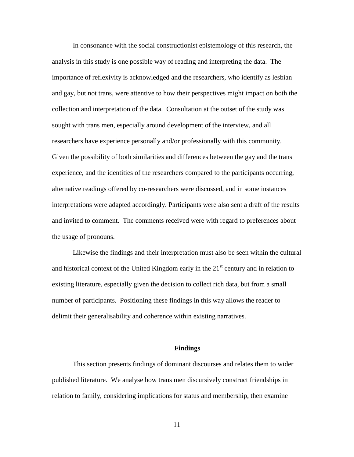In consonance with the social constructionist epistemology of this research, the analysis in this study is one possible way of reading and interpreting the data. The importance of reflexivity is acknowledged and the researchers, who identify as lesbian and gay, but not trans, were attentive to how their perspectives might impact on both the collection and interpretation of the data. Consultation at the outset of the study was sought with trans men, especially around development of the interview, and all researchers have experience personally and/or professionally with this community. Given the possibility of both similarities and differences between the gay and the trans experience, and the identities of the researchers compared to the participants occurring, alternative readings offered by co-researchers were discussed, and in some instances interpretations were adapted accordingly. Participants were also sent a draft of the results and invited to comment. The comments received were with regard to preferences about the usage of pronouns.

Likewise the findings and their interpretation must also be seen within the cultural and historical context of the United Kingdom early in the  $21<sup>st</sup>$  century and in relation to existing literature, especially given the decision to collect rich data, but from a small number of participants. Positioning these findings in this way allows the reader to delimit their generalisability and coherence within existing narratives.

#### **Findings**

 This section presents findings of dominant discourses and relates them to wider published literature. We analyse how trans men discursively construct friendships in relation to family, considering implications for status and membership, then examine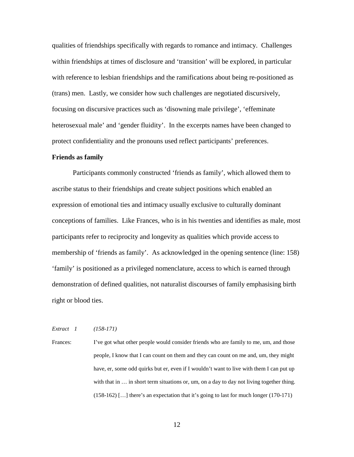qualities of friendships specifically with regards to romance and intimacy. Challenges within friendships at times of disclosure and 'transition' will be explored, in particular with reference to lesbian friendships and the ramifications about being re-positioned as (trans) men. Lastly, we consider how such challenges are negotiated discursively, focusing on discursive practices such as 'disowning male privilege', 'effeminate heterosexual male' and 'gender fluidity'. In the excerpts names have been changed to protect confidentiality and the pronouns used reflect participants' preferences.

### **Friends as family**

Participants commonly constructed 'friends as family', which allowed them to ascribe status to their friendships and create subject positions which enabled an expression of emotional ties and intimacy usually exclusive to culturally dominant conceptions of families. Like Frances, who is in his twenties and identifies as male, most participants refer to reciprocity and longevity as qualities which provide access to membership of 'friends as family'. As acknowledged in the opening sentence (line: 158) 'family' is positioned as a privileged nomenclature, access to which is earned through demonstration of defined qualities, not naturalist discourses of family emphasising birth right or blood ties.

#### *Extract 1 (158-171)*

Frances: I've got what other people would consider friends who are family to me, um, and those people, I know that I can count on them and they can count on me and, um, they might have, er, some odd quirks but er, even if I wouldn't want to live with them I can put up with that in  $\ldots$  in short term situations or, um, on a day to day not living together thing. (158-162) […] there's an expectation that it's going to last for much longer (170-171)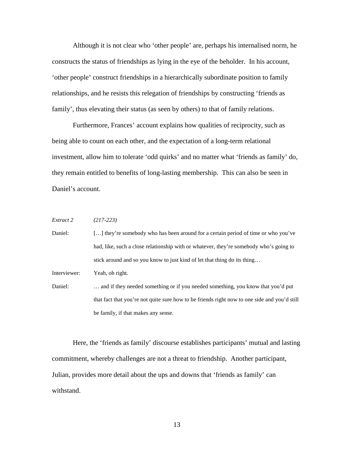Although it is not clear who 'other people' are, perhaps his internalised norm, he constructs the status of friendships as lying in the eye of the beholder. In his account, 'other people' construct friendships in a hierarchically subordinate position to family relationships, and he resists this relegation of friendships by constructing 'friends as family', thus elevating their status (as seen by others) to that of family relations.

Furthermore, Frances' account explains how qualities of reciprocity, such as being able to count on each other, and the expectation of a long-term relational investment, allow him to tolerate 'odd quirks' and no matter what 'friends as family' do, they remain entitled to benefits of long-lasting membership. This can also be seen in Daniel's account.

*Extract 2 (217-223)*

Daniel: [...] they're somebody who has been around for a certain period of time or who you've had, like, such a close relationship with or whatever, they're somebody who's going to stick around and so you know to just kind of let that thing do its thing…

Interviewer: Yeah, oh right.

Daniel: ... and if they needed something or if you needed something, you know that you'd put that fact that you're not quite sure how to be friends right now to one side and you'd still be family, if that makes any sense.

Here, the 'friends as family' discourse establishes participants' mutual and lasting commitment, whereby challenges are not a threat to friendship. Another participant, Julian, provides more detail about the ups and downs that 'friends as family' can withstand.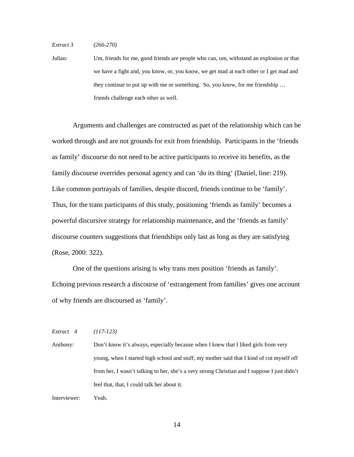*Extract 3 (266-270)*

Julian: Um, friends for me, good friends are people who can, um, withstand an explosion or that we have a fight and, you know, or, you know, we get mad at each other or I get mad and they continue to put up with me or something. So, you know, for me friendship … friends challenge each other as well.

Arguments and challenges are constructed as part of the relationship which can be worked through and are not grounds for exit from friendship. Participants in the 'friends as family' discourse do not need to be active participants to receive its benefits, as the family discourse overrides personal agency and can 'do its thing' (Daniel, line: 219). Like common portrayals of families, despite discord, friends continue to be 'family'. Thus, for the trans participants of this study, positioning 'friends as family' becomes a powerful discursive strategy for relationship maintenance, and the 'friends as family' discourse counters suggestions that friendships only last as long as they are satisfying (Rose, 2000: 322).

One of the questions arising is why trans men position 'friends as family'. Echoing previous research a discourse of 'estrangement from families' gives one account of why friends are discoursed as 'family'.

*Extract 4 (117-123)*

Anthony: Don't know it's always, especially because when I knew that I liked girls from very young, when I started high school and stuff, my mother said that I kind of cut myself off from her, I wasn't talking to her, she's a very strong Christian and I suppose I just didn't feel that, that, I could talk her about it.

Interviewer: Yeah.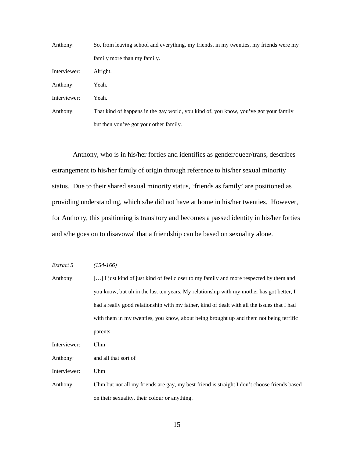| Anthony:        | So, from leaving school and everything, my friends, in my twenties, my friends were my |
|-----------------|----------------------------------------------------------------------------------------|
|                 | family more than my family.                                                            |
| Interviewer:    | Alright.                                                                               |
| Anthony:        | Yeah.                                                                                  |
| Interviewer:    | Yeah.                                                                                  |
| $A = H \cdot H$ | That kind of hannana in the care would way kind of you know you're got your family     |

Anthony: That kind of happens in the gay world, you kind of, you know, you've got your family but then you've got your other family.

Anthony, who is in his/her forties and identifies as gender/queer/trans, describes estrangement to his/her family of origin through reference to his/her sexual minority status. Due to their shared sexual minority status, 'friends as family' are positioned as providing understanding, which s/he did not have at home in his/her twenties. However, for Anthony, this positioning is transitory and becomes a passed identity in his/her forties and s/he goes on to disavowal that a friendship can be based on sexuality alone.

#### *Extract 5 (154-166)*

| Anthony:     | $\left[\ldots\right]$ I just kind of just kind of feel closer to my family and more respected by them and |
|--------------|-----------------------------------------------------------------------------------------------------------|
|              | you know, but uh in the last ten years. My relationship with my mother has got better, I                  |
|              | had a really good relationship with my father, kind of dealt with all the issues that I had               |
|              | with them in my twenties, you know, about being brought up and them not being terrific                    |
|              | parents                                                                                                   |
| Interviewer: | Uhm                                                                                                       |
| Anthony:     | and all that sort of                                                                                      |
| Interviewer: | Uhm                                                                                                       |
| Anthony:     | Uhm but not all my friends are gay, my best friend is straight I don't choose friends based               |
|              | on their sexuality, their colour or anything.                                                             |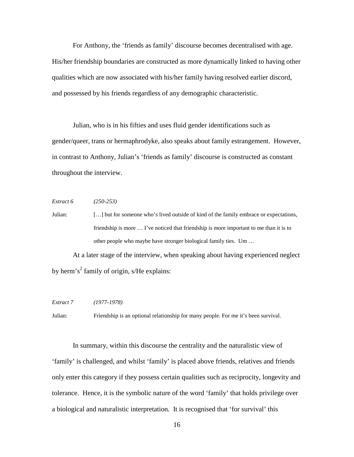For Anthony, the 'friends as family' discourse becomes decentralised with age. His/her friendship boundaries are constructed as more dynamically linked to having other qualities which are now associated with his/her family having resolved earlier discord, and possessed by his friends regardless of any demographic characteristic.

Julian, who is in his fifties and uses fluid gender identifications such as gender/queer, trans or hermaphrodyke, also speaks about family estrangement. However, in contrast to Anthony, Julian's 'friends as family' discourse is constructed as constant throughout the interview.

*Extract 6 (250-253)*

Julian: […] but for someone who's lived outside of kind of the family embrace or expectations, friendship is more … I've noticed that friendship is more important to me than it is to other people who maybe have stronger biological family ties. Um …

At a later stage of the interview, when speaking about having experienced neglect by herm's<sup>2</sup> family of origin, s/He explains:

### *Extract 7 (1977-1978)*

Julian: Friendship is an optional relationship for many people. For me it's been survival.

In summary, within this discourse the centrality and the naturalistic view of 'family' is challenged, and whilst 'family' is placed above friends, relatives and friends only enter this category if they possess certain qualities such as reciprocity, longevity and tolerance. Hence, it is the symbolic nature of the word 'family' that holds privilege over a biological and naturalistic interpretation. It is recognised that 'for survival' this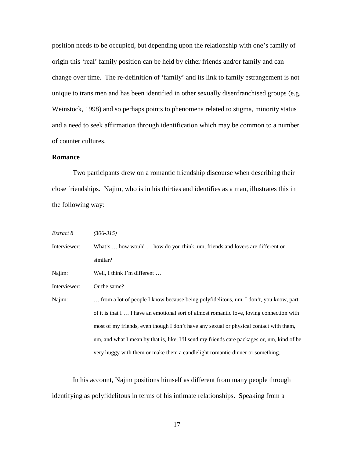position needs to be occupied, but depending upon the relationship with one's family of origin this 'real' family position can be held by either friends and/or family and can change over time. The re-definition of 'family' and its link to family estrangement is not unique to trans men and has been identified in other sexually disenfranchised groups (e.g. Weinstock, 1998) and so perhaps points to phenomena related to stigma, minority status and a need to seek affirmation through identification which may be common to a number of counter cultures.

### **Romance**

Two participants drew on a romantic friendship discourse when describing their close friendships. Najim, who is in his thirties and identifies as a man, illustrates this in the following way:

| Extract 8    | $(306 - 315)$                                                                               |
|--------------|---------------------------------------------------------------------------------------------|
| Interviewer: | What's  how would  how do you think, um, friends and lovers are different or                |
|              | similar?                                                                                    |
| Najim:       | Well, I think I'm different                                                                 |
| Interviewer: | Or the same?                                                                                |
| Najim:       | from a lot of people I know because being polyfidelitous, um, I don't, you know, part       |
|              | of it is that I  I have an emotional sort of almost romantic love, loving connection with   |
|              | most of my friends, even though I don't have any sexual or physical contact with them,      |
|              | um, and what I mean by that is, like, I'll send my friends care packages or, um, kind of be |
|              | very huggy with them or make them a candle light romantic dinner or something.              |

In his account, Najim positions himself as different from many people through identifying as polyfidelitous in terms of his intimate relationships. Speaking from a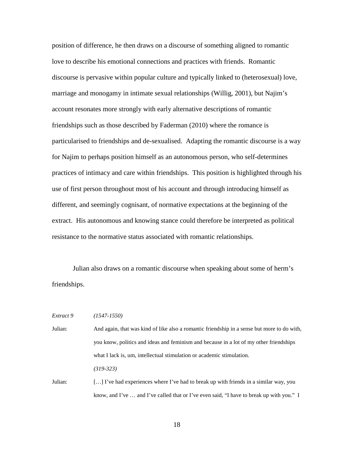position of difference, he then draws on a discourse of something aligned to romantic love to describe his emotional connections and practices with friends. Romantic discourse is pervasive within popular culture and typically linked to (heterosexual) love, marriage and monogamy in intimate sexual relationships (Willig, 2001), but Najim's account resonates more strongly with early alternative descriptions of romantic friendships such as those described by Faderman (2010) where the romance is particularised to friendships and de-sexualised. Adapting the romantic discourse is a way for Najim to perhaps position himself as an autonomous person, who self-determines practices of intimacy and care within friendships. This position is highlighted through his use of first person throughout most of his account and through introducing himself as different, and seemingly cognisant, of normative expectations at the beginning of the extract. His autonomous and knowing stance could therefore be interpreted as political resistance to the normative status associated with romantic relationships.

Julian also draws on a romantic discourse when speaking about some of herm's friendships.

*Extract 9 (1547-1550)* Julian: And again, that was kind of like also a romantic friendship in a sense but more to do with, you know, politics and ideas and feminism and because in a lot of my other friendships what I lack is, um, intellectual stimulation or academic stimulation. *(319-323)* Julian: […] I've had experiences where I've had to break up with friends in a similar way, you

18

know, and I've … and I've called that or I've even said, "I have to break up with you." I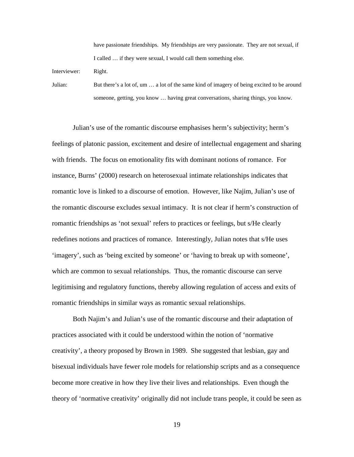have passionate friendships. My friendships are very passionate. They are not sexual, if I called … if they were sexual, I would call them something else.

Interviewer: Right.

Julian: But there's a lot of, um … a lot of the same kind of imagery of being excited to be around someone, getting, you know … having great conversations, sharing things, you know.

Julian's use of the romantic discourse emphasises herm's subjectivity; herm's feelings of platonic passion, excitement and desire of intellectual engagement and sharing with friends. The focus on emotionality fits with dominant notions of romance. For instance, Burns' (2000) research on heterosexual intimate relationships indicates that romantic love is linked to a discourse of emotion. However, like Najim, Julian's use of the romantic discourse excludes sexual intimacy. It is not clear if herm's construction of romantic friendships as 'not sexual' refers to practices or feelings, but s/He clearly redefines notions and practices of romance. Interestingly, Julian notes that s/He uses 'imagery', such as 'being excited by someone' or 'having to break up with someone', which are common to sexual relationships. Thus, the romantic discourse can serve legitimising and regulatory functions, thereby allowing regulation of access and exits of romantic friendships in similar ways as romantic sexual relationships.

Both Najim's and Julian's use of the romantic discourse and their adaptation of practices associated with it could be understood within the notion of 'normative creativity', a theory proposed by Brown in 1989. She suggested that lesbian, gay and bisexual individuals have fewer role models for relationship scripts and as a consequence become more creative in how they live their lives and relationships. Even though the theory of 'normative creativity' originally did not include trans people, it could be seen as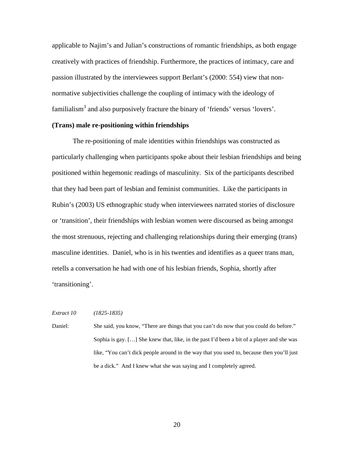applicable to Najim's and Julian's constructions of romantic friendships, as both engage creatively with practices of friendship. Furthermore, the practices of intimacy, care and passion illustrated by the interviewees support Berlant's (2000: 554) view that nonnormative subjectivities challenge the coupling of intimacy with the ideology of familialism<sup>3</sup> and also purposively fracture the binary of 'friends' versus 'lovers'.

### **(Trans) male re-positioning within friendships**

The re-positioning of male identities within friendships was constructed as particularly challenging when participants spoke about their lesbian friendships and being positioned within hegemonic readings of masculinity. Six of the participants described that they had been part of lesbian and feminist communities. Like the participants in Rubin's (2003) US ethnographic study when interviewees narrated stories of disclosure or 'transition', their friendships with lesbian women were discoursed as being amongst the most strenuous, rejecting and challenging relationships during their emerging (trans) masculine identities. Daniel, who is in his twenties and identifies as a queer trans man, retells a conversation he had with one of his lesbian friends, Sophia, shortly after 'transitioning'.

#### *Extract 10 (1825-1835)*

Daniel: She said, you know, "There are things that you can't do now that you could do before." Sophia is gay. […] She knew that, like, in the past I'd been a bit of a player and she was like, "You can't dick people around in the way that you used to, because then you'll just be a dick." And I knew what she was saying and I completely agreed.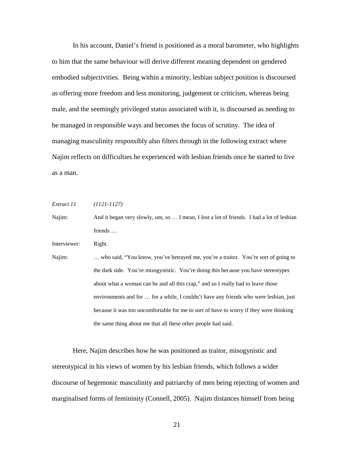In his account, Daniel's friend is positioned as a moral barometer, who highlights to him that the same behaviour will derive different meaning dependent on gendered embodied subjectivities. Being within a minority, lesbian subject position is discoursed as offering more freedom and less monitoring, judgement or criticism, whereas being male, and the seemingly privileged status associated with it, is discoursed as needing to be managed in responsible ways and becomes the focus of scrutiny. The idea of managing masculinity responsibly also filters through in the following extract where Najim reflects on difficulties he experienced with lesbian friends once he started to live as a man.

*Extract 11 (1121-1127)* Najim: And it began very slowly, um, so … I mean, I lost a lot of friends. I had a lot of lesbian friends … Interviewer: Right. Najim: … who said, "You know, you've betrayed me, you're a traitor. You're sort of going to the dark side. You're misogynistic. You're doing this because you have stereotypes about what a woman can be and all this crap," and so I really had to leave those environments and for … for a while, I couldn't have any friends who were lesbian, just because it was too uncomfortable for me to sort of have to worry if they were thinking the same thing about me that all these other people had said.

Here, Najim describes how he was positioned as traitor, misogynistic and stereotypical in his views of women by his lesbian friends, which follows a wider discourse of hegemonic masculinity and patriarchy of men being rejecting of women and marginalised forms of femininity (Connell, 2005). Najim distances himself from being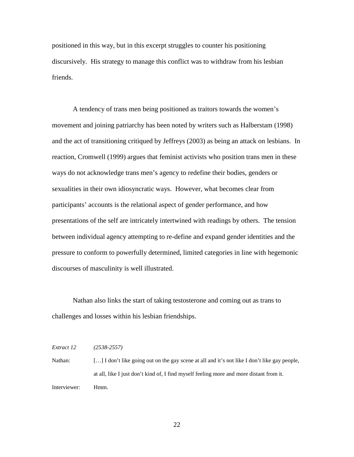positioned in this way, but in this excerpt struggles to counter his positioning discursively. His strategy to manage this conflict was to withdraw from his lesbian friends.

A tendency of trans men being positioned as traitors towards the women's movement and joining patriarchy has been noted by writers such as Halberstam (1998) and the act of transitioning critiqued by Jeffreys (2003) as being an attack on lesbians. In reaction, Cromwell (1999) argues that feminist activists who position trans men in these ways do not acknowledge trans men's agency to redefine their bodies, genders or sexualities in their own idiosyncratic ways. However, what becomes clear from participants' accounts is the relational aspect of gender performance, and how presentations of the self are intricately intertwined with readings by others. The tension between individual agency attempting to re-define and expand gender identities and the pressure to conform to powerfully determined, limited categories in line with hegemonic discourses of masculinity is well illustrated.

Nathan also links the start of taking testosterone and coming out as trans to challenges and losses within his lesbian friendships.

*Extract 12 (2538-2557)*

Nathan: [...] I don't like going out on the gay scene at all and it's not like I don't like gay people, at all, like I just don't kind of, I find myself feeling more and more distant from it. Interviewer: Hmm.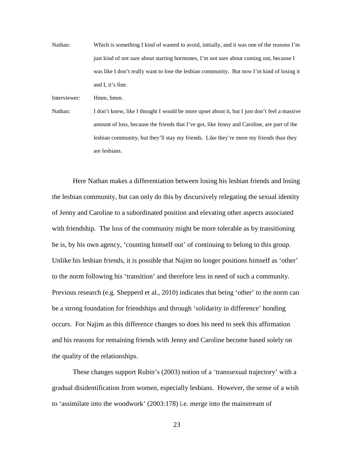Nathan: Which is something I kind of wanted to avoid, initially, and it was one of the reasons I'm just kind of not sure about starting hormones, I'm not sure about coming out, because I was like I don't really want to lose the lesbian community. But now I'm kind of losing it and I, it's fine.

Interviewer: Hmm, hmm.

Nathan: I don't know, like I thought I would be more upset about it, but I just don't feel a massive amount of loss, because the friends that I've got, like Jenny and Caroline, are part of the lesbian community, but they'll stay my friends. Like they're more my friends than they are lesbians.

Here Nathan makes a differentiation between losing his lesbian friends and losing the lesbian community, but can only do this by discursively relegating the sexual identity of Jenny and Caroline to a subordinated position and elevating other aspects associated with friendship. The loss of the community might be more tolerable as by transitioning he is, by his own agency, 'counting himself out' of continuing to belong to this group. Unlike his lesbian friends, it is possible that Najim no longer positions himself as 'other' to the norm following his 'transition' and therefore less in need of such a community. Previous research (e.g. Shepperd et al., 2010) indicates that being 'other' to the norm can be a strong foundation for friendships and through 'solidarity in difference' bonding occurs. For Najim as this difference changes so does his need to seek this affirmation and his reasons for remaining friends with Jenny and Caroline become based solely on the quality of the relationships.

These changes support Rubin's (2003) notion of a 'transsexual trajectory' with a gradual disidentification from women, especially lesbians. However, the sense of a wish to 'assimilate into the woodwork' (2003:178) i.e. merge into the mainstream of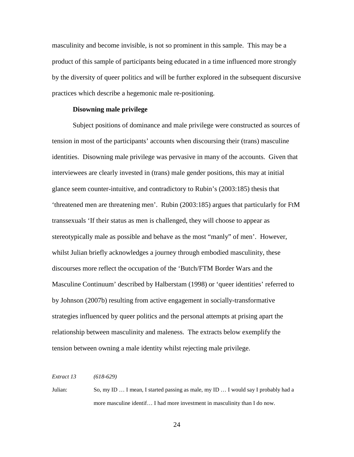masculinity and become invisible, is not so prominent in this sample. This may be a product of this sample of participants being educated in a time influenced more strongly by the diversity of queer politics and will be further explored in the subsequent discursive practices which describe a hegemonic male re-positioning.

### **Disowning male privilege**

Subject positions of dominance and male privilege were constructed as sources of tension in most of the participants' accounts when discoursing their (trans) masculine identities. Disowning male privilege was pervasive in many of the accounts. Given that interviewees are clearly invested in (trans) male gender positions, this may at initial glance seem counter-intuitive, and contradictory to Rubin's (2003:185) thesis that 'threatened men are threatening men'. Rubin (2003:185) argues that particularly for FtM transsexuals 'If their status as men is challenged, they will choose to appear as stereotypically male as possible and behave as the most "manly" of men'. However, whilst Julian briefly acknowledges a journey through embodied masculinity, these discourses more reflect the occupation of the 'Butch/FTM Border Wars and the Masculine Continuum' described by Halberstam (1998) or 'queer identities' referred to by Johnson (2007b) resulting from active engagement in socially-transformative strategies influenced by queer politics and the personal attempts at prising apart the relationship between masculinity and maleness. The extracts below exemplify the tension between owning a male identity whilst rejecting male privilege.

*Extract 13 (618-629)*

Julian: So, my ID … I mean, I started passing as male, my ID … I would say I probably had a more masculine identif… I had more investment in masculinity than I do now.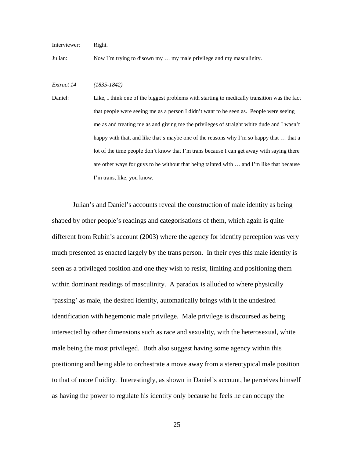Interviewer: Right.

Julian: Now I'm trying to disown my … my male privilege and my masculinity.

*Extract 14 (1835-1842)*

Daniel: Like, I think one of the biggest problems with starting to medically transition was the fact that people were seeing me as a person I didn't want to be seen as. People were seeing me as and treating me as and giving me the privileges of straight white dude and I wasn't happy with that, and like that's maybe one of the reasons why I'm so happy that ... that a lot of the time people don't know that I'm trans because I can get away with saying there are other ways for guys to be without that being tainted with … and I'm like that because I'm trans, like, you know.

Julian's and Daniel's accounts reveal the construction of male identity as being shaped by other people's readings and categorisations of them, which again is quite different from Rubin's account (2003) where the agency for identity perception was very much presented as enacted largely by the trans person. In their eyes this male identity is seen as a privileged position and one they wish to resist, limiting and positioning them within dominant readings of masculinity. A paradox is alluded to where physically 'passing' as male, the desired identity, automatically brings with it the undesired identification with hegemonic male privilege. Male privilege is discoursed as being intersected by other dimensions such as race and sexuality, with the heterosexual, white male being the most privileged. Both also suggest having some agency within this positioning and being able to orchestrate a move away from a stereotypical male position to that of more fluidity. Interestingly, as shown in Daniel's account, he perceives himself as having the power to regulate his identity only because he feels he can occupy the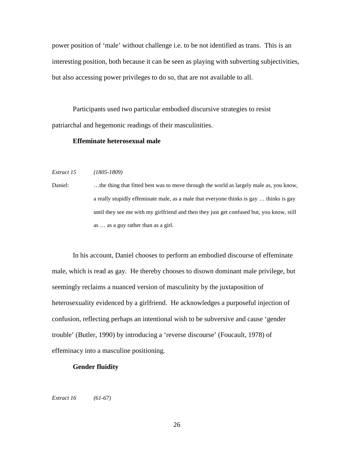power position of 'male' without challenge i.e. to be not identified as trans. This is an interesting position, both because it can be seen as playing with subverting subjectivities, but also accessing power privileges to do so, that are not available to all.

Participants used two particular embodied discursive strategies to resist patriarchal and hegemonic readings of their masculinities.

### **Effeminate heterosexual male**

*Extract 15 (1805-1809)*

Daniel: ...the thing that fitted best was to move through the world as largely male as, you know, a really stupidly effeminate male, as a male that everyone thinks is gay … thinks is gay until they see me with my girlfriend and then they just get confused but, you know, still as … as a guy rather than as a girl.

In his account, Daniel chooses to perform an embodied discourse of effeminate male, which is read as gay. He thereby chooses to disown dominant male privilege, but seemingly reclaims a nuanced version of masculinity by the juxtaposition of heterosexuality evidenced by a girlfriend. He acknowledges a purposeful injection of confusion, reflecting perhaps an intentional wish to be subversive and cause 'gender trouble' (Butler, 1990) by introducing a 'reverse discourse' (Foucault, 1978) of effeminacy into a masculine positioning.

### **Gender fluidity**

*Extract 16 (61-67)*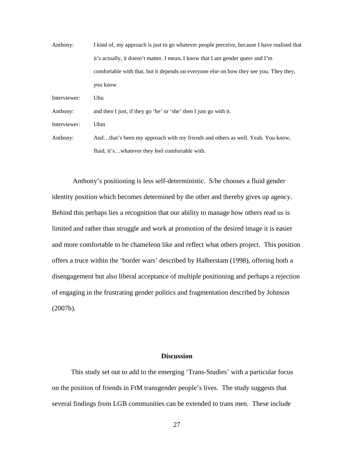| Anthony:     | I kind of, my approach is just to go whatever people perceive, because I have realised that |
|--------------|---------------------------------------------------------------------------------------------|
|              | it's actually, it doesn't matter. I mean, I know that I am gender queer and I'm             |
|              | comfortable with that, but it depends on everyone else on how they see you. They they,      |
|              | you know                                                                                    |
| Interviewer: | Uhu                                                                                         |
| Anthony:     | and then I just, if they go 'he' or 'she' then I just go with it.                           |
| Interviewer: | Uhm                                                                                         |
| Anthony:     | Andthat's been my approach with my friends and others as well. Yeah. You know,              |
|              | fluid, it'swhatever they feel comfortable with.                                             |

Anthony's positioning is less self-deterministic. S/he chooses a fluid gender identity position which becomes determined by the other and thereby gives up agency. Behind this perhaps lies a recognition that our ability to manage how others read us is limited and rather than struggle and work at promotion of the desired image it is easier and more comfortable to be chameleon like and reflect what others project. This position offers a truce within the 'border wars' described by Halberstam (1998), offering both a disengagement but also liberal acceptance of multiple positioning and perhaps a rejection of engaging in the frustrating gender politics and fragmentation described by Johnson (2007b).

## **Discussion**

 This study set out to add to the emerging 'Trans-Studies' with a particular focus on the position of friends in FtM transgender people's lives. The study suggests that several findings from LGB communities can be extended to trans men. These include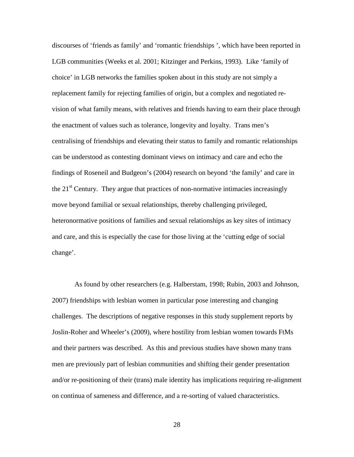discourses of 'friends as family' and 'romantic friendships ', which have been reported in LGB communities (Weeks et al. 2001; Kitzinger and Perkins, 1993). Like 'family of choice' in LGB networks the families spoken about in this study are not simply a replacement family for rejecting families of origin, but a complex and negotiated revision of what family means, with relatives and friends having to earn their place through the enactment of values such as tolerance, longevity and loyalty. Trans men's centralising of friendships and elevating their status to family and romantic relationships can be understood as contesting dominant views on intimacy and care and echo the findings of Roseneil and Budgeon's (2004) research on beyond 'the family' and care in the  $21<sup>st</sup>$  Century. They argue that practices of non-normative intimacies increasingly move beyond familial or sexual relationships, thereby challenging privileged, heteronormative positions of families and sexual relationships as key sites of intimacy and care, and this is especially the case for those living at the 'cutting edge of social change'.

 As found by other researchers (e.g. Halberstam, 1998; Rubin, 2003 and Johnson, 2007) friendships with lesbian women in particular pose interesting and changing challenges. The descriptions of negative responses in this study supplement reports by Joslin-Roher and Wheeler's (2009), where hostility from lesbian women towards FtMs and their partners was described. As this and previous studies have shown many trans men are previously part of lesbian communities and shifting their gender presentation and/or re-positioning of their (trans) male identity has implications requiring re-alignment on continua of sameness and difference, and a re-sorting of valued characteristics.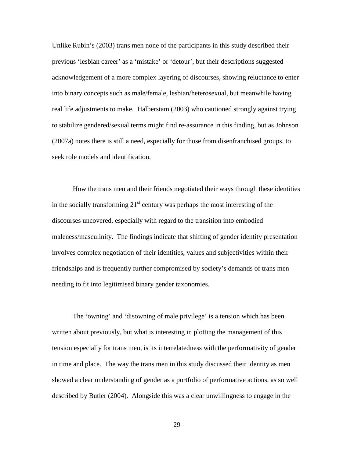Unlike Rubin's (2003) trans men none of the participants in this study described their previous 'lesbian career' as a 'mistake' or 'detour', but their descriptions suggested acknowledgement of a more complex layering of discourses, showing reluctance to enter into binary concepts such as male/female, lesbian/heterosexual, but meanwhile having real life adjustments to make. Halberstam (2003) who cautioned strongly against trying to stabilize gendered/sexual terms might find re-assurance in this finding, but as Johnson (2007a) notes there is still a need, especially for those from disenfranchised groups, to seek role models and identification.

How the trans men and their friends negotiated their ways through these identities in the socially transforming  $21<sup>st</sup>$  century was perhaps the most interesting of the discourses uncovered, especially with regard to the transition into embodied maleness/masculinity. The findings indicate that shifting of gender identity presentation involves complex negotiation of their identities, values and subjectivities within their friendships and is frequently further compromised by society's demands of trans men needing to fit into legitimised binary gender taxonomies.

The 'owning' and 'disowning of male privilege' is a tension which has been written about previously, but what is interesting in plotting the management of this tension especially for trans men, is its interrelatedness with the performativity of gender in time and place. The way the trans men in this study discussed their identity as men showed a clear understanding of gender as a portfolio of performative actions, as so well described by Butler (2004). Alongside this was a clear unwillingness to engage in the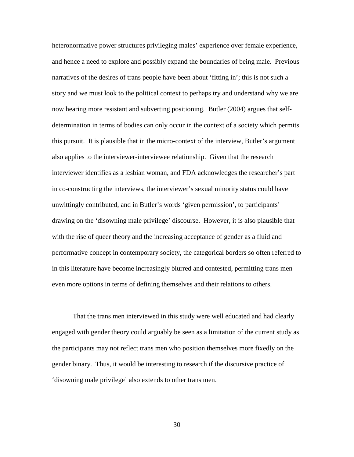heteronormative power structures privileging males' experience over female experience, and hence a need to explore and possibly expand the boundaries of being male. Previous narratives of the desires of trans people have been about 'fitting in'; this is not such a story and we must look to the political context to perhaps try and understand why we are now hearing more resistant and subverting positioning. Butler (2004) argues that selfdetermination in terms of bodies can only occur in the context of a society which permits this pursuit. It is plausible that in the micro-context of the interview, Butler's argument also applies to the interviewer-interviewee relationship. Given that the research interviewer identifies as a lesbian woman, and FDA acknowledges the researcher's part in co-constructing the interviews, the interviewer's sexual minority status could have unwittingly contributed, and in Butler's words 'given permission', to participants' drawing on the 'disowning male privilege' discourse. However, it is also plausible that with the rise of queer theory and the increasing acceptance of gender as a fluid and performative concept in contemporary society, the categorical borders so often referred to in this literature have become increasingly blurred and contested, permitting trans men even more options in terms of defining themselves and their relations to others.

That the trans men interviewed in this study were well educated and had clearly engaged with gender theory could arguably be seen as a limitation of the current study as the participants may not reflect trans men who position themselves more fixedly on the gender binary. Thus, it would be interesting to research if the discursive practice of 'disowning male privilege' also extends to other trans men.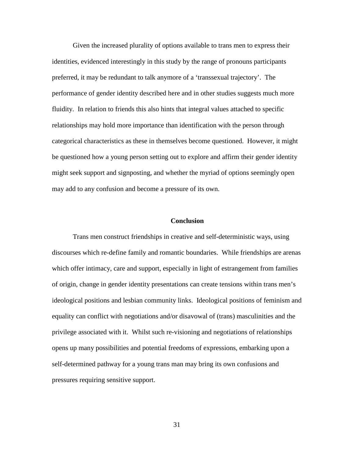Given the increased plurality of options available to trans men to express their identities, evidenced interestingly in this study by the range of pronouns participants preferred, it may be redundant to talk anymore of a 'transsexual trajectory'. The performance of gender identity described here and in other studies suggests much more fluidity. In relation to friends this also hints that integral values attached to specific relationships may hold more importance than identification with the person through categorical characteristics as these in themselves become questioned. However, it might be questioned how a young person setting out to explore and affirm their gender identity might seek support and signposting, and whether the myriad of options seemingly open may add to any confusion and become a pressure of its own.

### **Conclusion**

Trans men construct friendships in creative and self-deterministic ways, using discourses which re-define family and romantic boundaries. While friendships are arenas which offer intimacy, care and support, especially in light of estrangement from families of origin, change in gender identity presentations can create tensions within trans men's ideological positions and lesbian community links. Ideological positions of feminism and equality can conflict with negotiations and/or disavowal of (trans) masculinities and the privilege associated with it. Whilst such re-visioning and negotiations of relationships opens up many possibilities and potential freedoms of expressions, embarking upon a self-determined pathway for a young trans man may bring its own confusions and pressures requiring sensitive support.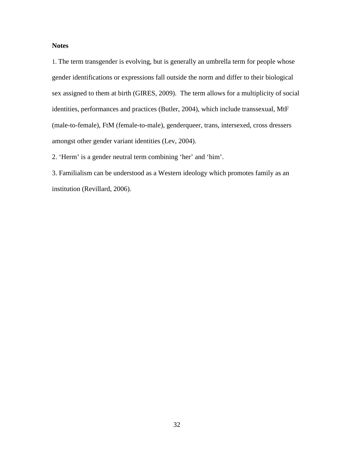# **Notes**

1. The term transgender is evolving, but is generally an umbrella term for people whose gender identifications or expressions fall outside the norm and differ to their biological sex assigned to them at birth (GIRES, 2009). The term allows for a multiplicity of social identities, performances and practices (Butler, 2004), which include transsexual, MtF (male-to-female), FtM (female-to-male), genderqueer, trans, intersexed, cross dressers amongst other gender variant identities (Lev, 2004).

2. 'Herm' is a gender neutral term combining 'her' and 'him'.

3. Familialism can be understood as a Western ideology which promotes family as an institution (Revillard, 2006).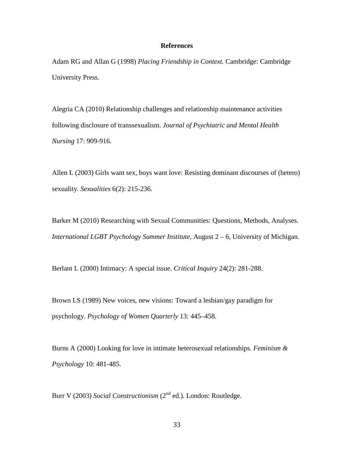### **References**

Adam RG and Allan G (1998) *Placing Friendship in Context.* Cambridge: Cambridge University Press.

Alegria CA (2010) Relationship challenges and relationship maintenance activities following disclosure of transsexualism. *Journal of Psychiatric and Mental Health Nursing* 17: 909-916.

Allen L (2003) Girls want sex, boys want love: Resisting dominant discourses of (hetero) sexuality. *Sexualities* 6(2): 215-236.

Barker M (2010) Researching with Sexual Communities: Questions, Methods, Analyses. *International LGBT Psychology Summer Institute,* August 2 – 6, University of Michigan.

Berlant L (2000) Intimacy: A special issue. *Critical Inquiry* 24(2): 281-288.

Brown LS (1989) New voices, new visions: Toward a lesbian/gay paradigm for psychology. *Psychology of Women Quarterly* 13: 445–458.

Burns A (2000) Looking for love in intimate heterosexual relationships. *Feminism & Psychology* 10: 481-485.

Burr V (2003) *Social Constructionism* (2<sup>nd</sup> ed.). London: Routledge.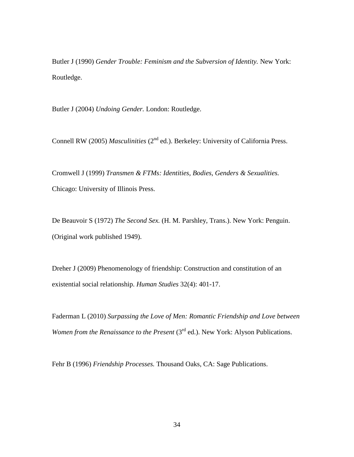Butler J (1990) *Gender Trouble: Feminism and the Subversion of Identity*. New York: Routledge.

Butler J (2004) *Undoing Gender.* London: Routledge.

Connell RW (2005) *Masculinities* (2<sup>nd</sup> ed.). Berkeley: University of California Press.

Cromwell J (1999) *Transmen & FTMs: Identities, Bodies, Genders & Sexualities.*  Chicago: University of Illinois Press.

De Beauvoir S (1972) *The Second Sex.* (H. M. Parshley, Trans.). New York: Penguin. (Original work published 1949).

Dreher J (2009) Phenomenology of friendship: Construction and constitution of an existential social relationship. *Human Studies* 32(4): 401-17.

Faderman L (2010) *Surpassing the Love of Men: Romantic Friendship and Love between Women from the Renaissance to the Present* (3<sup>rd</sup> ed.). New York: Alyson Publications.

Fehr B (1996) *Friendship Processes.* Thousand Oaks, CA: Sage Publications.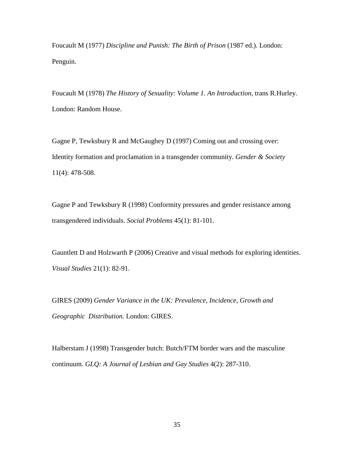Foucault M (1977) *Discipline and Punish: The Birth of Prison* (1987 ed.). London: Penguin.

Foucault M (1978) *The History of Sexuality: Volume 1. An Introduction*, trans R.Hurley. London: Random House.

Gagne P, Tewksbury R and McGaughey D (1997) Coming out and crossing over: Identity formation and proclamation in a transgender community. *Gender & Society*  11(4): 478-508.

Gagne P and Tewksbury R (1998) Conformity pressures and gender resistance among transgendered individuals. *Social Problems* 45(1): 81-101.

Gauntlett D and Holzwarth P (2006) Creative and visual methods for exploring identities. *Visual Studies* 21(1): 82-91.

GIRES (2009) *Gender Variance in the UK: Prevalence, Incidence, Growth and Geographic Distribution.* London: GIRES.

Halberstam J (1998) Transgender butch: Butch/FTM border wars and the masculine continuum. *GLQ: A Journal of Lesbian and Gay Studies* 4(2): 287-310.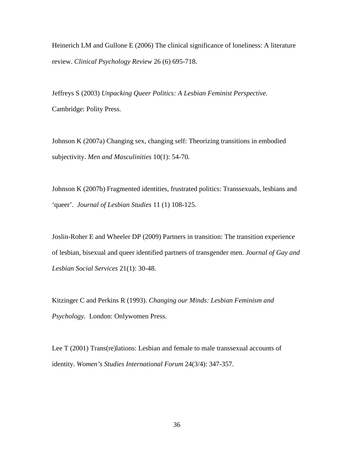Heinerich LM and Gullone E (2006) The clinical significance of loneliness: A literature review. *Clinical Psychology Review* 26 (6) 695-718.

Jeffreys S (2003) *Unpacking Queer Politics: A Lesbian Feminist Perspective.*  Cambridge: Polity Press.

Johnson K (2007a) Changing sex, changing self: Theorizing transitions in embodied subjectivity. *Men and Masculinities* 10(1): 54-70.

Johnson K (2007b) Fragmented identities, frustrated politics: Transsexuals, lesbians and 'queer'. *Journal of Lesbian Studies* 11 (1) 108-125.

Joslin-Roher E and Wheeler DP (2009) Partners in transition: The transition experience of lesbian, bisexual and queer identified partners of transgender men. *Journal of Gay and Lesbian Social Services* 21(1): 30-48.

Kitzinger C and Perkins R (1993). *Changing our Minds: Lesbian Feminism and Psychology.* London: Onlywomen Press.

Lee T (2001) Trans(re)lations: Lesbian and female to male transsexual accounts of identity. *Women's Studies International Forum* 24(3/4): 347-357.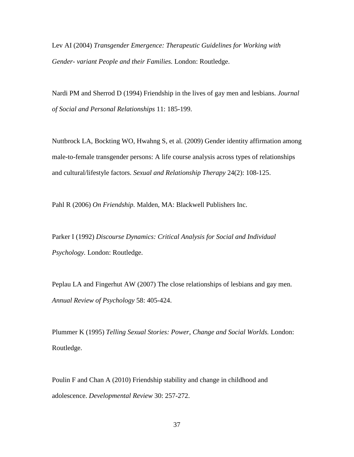Lev AI (2004) *Transgender Emergence: Therapeutic Guidelines for Working with Gender- variant People and their Families.* London: Routledge.

Nardi PM and Sherrod D (1994) Friendship in the lives of gay men and lesbians. *Journal of Social and Personal Relationships* 11: 185-199.

Nuttbrock LA, Bockting WO, Hwahng S, et al. (2009) Gender identity affirmation among male-to-female transgender persons: A life course analysis across types of relationships and cultural/lifestyle factors. *Sexual and Relationship Therapy* 24(2): 108-125.

Pahl R (2006) *On Friendship.* Malden, MA: Blackwell Publishers Inc.

Parker I (1992) *Discourse Dynamics: Critical Analysis for Social and Individual Psychology.* London: Routledge.

Peplau LA and Fingerhut AW (2007) The close relationships of lesbians and gay men. *Annual Review of Psychology* 58: 405-424.

Plummer K (1995) *Telling Sexual Stories: Power, Change and Social Worlds.* London: Routledge.

Poulin F and Chan A (2010) Friendship stability and change in childhood and adolescence. *Developmental Review* 30: 257-272.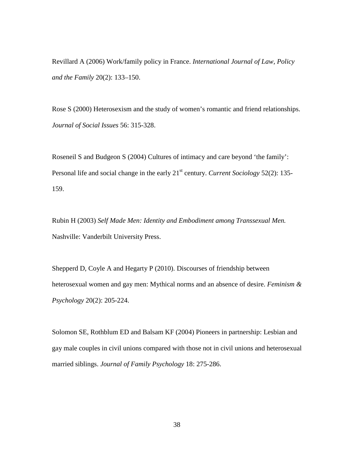Revillard A (2006) Work/family policy in France. *International Journal of Law, Policy and the Family* 20(2): 133–150.

Rose S (2000) Heterosexism and the study of women's romantic and friend relationships. *Journal of Social Issues* 56: 315-328.

Roseneil S and Budgeon S (2004) Cultures of intimacy and care beyond 'the family': Personal life and social change in the early 21<sup>st</sup> century. *Current Sociology* 52(2): 135-159.

Rubin H (2003) *Self Made Men: Identity and Embodiment among Transsexual Men.* Nashville: Vanderbilt University Press.

Shepperd D, Coyle A and Hegarty P (2010). Discourses of friendship between heterosexual women and gay men: Mythical norms and an absence of desire. *Feminism & Psychology* 20(2): 205-224.

Solomon SE, Rothblum ED and Balsam KF (2004) Pioneers in partnership: Lesbian and gay male couples in civil unions compared with those not in civil unions and heterosexual married siblings. *Journal of Family Psychology* 18: 275-286.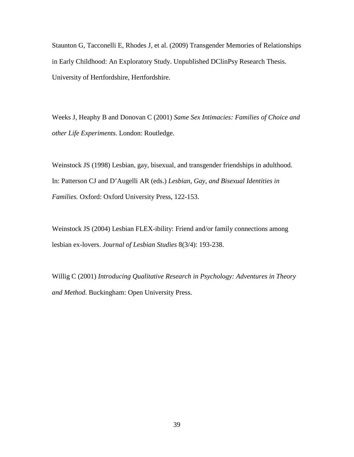Staunton G, Tacconelli E, Rhodes J, et al. (2009) Transgender Memories of Relationships in Early Childhood: An Exploratory Study. Unpublished DClinPsy Research Thesis. University of Hertfordshire, Hertfordshire.

Weeks J, Heaphy B and Donovan C (2001) *Same Sex Intimacies: Families of Choice and other Life Experiments.* London: Routledge.

Weinstock JS (1998) Lesbian, gay, bisexual, and transgender friendships in adulthood. In: Patterson CJ and D'Augelli AR (eds.) *Lesbian, Gay, and Bisexual Identities in Families.* Oxford: Oxford University Press, 122-153.

Weinstock JS (2004) Lesbian FLEX-ibility: Friend and/or family connections among lesbian ex-lovers. *Journal of Lesbian Studies* 8(3/4): 193-238.

Willig C (2001) *Introducing Qualitative Research in Psychology: Adventures in Theory and Method.* Buckingham: Open University Press.